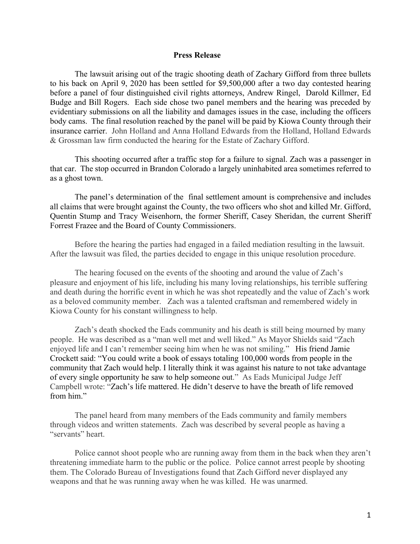## **Press Release**

The lawsuit arising out of the tragic shooting death of Zachary Gifford from three bullets to his back on April 9, 2020 has been settled for \$9,500,000 after a two day contested hearing before a panel of four distinguished civil rights attorneys, Andrew Ringel, Darold Killmer, Ed Budge and Bill Rogers. Each side chose two panel members and the hearing was preceded by evidentiary submissions on all the liability and damages issues in the case, including the officers body cams. The final resolution reached by the panel will be paid by Kiowa County through their insurance carrier. John Holland and Anna Holland Edwards from the Holland, Holland Edwards & Grossman law firm conducted the hearing for the Estate of Zachary Gifford.

This shooting occurred after a traffic stop for a failure to signal. Zach was a passenger in that car. The stop occurred in Brandon Colorado a largely uninhabited area sometimes referred to as a ghost town.

The panel's determination of the final settlement amount is comprehensive and includes all claims that were brought against the County, the two officers who shot and killed Mr. Gifford, Quentin Stump and Tracy Weisenhorn, the former Sheriff, Casey Sheridan, the current Sheriff Forrest Frazee and the Board of County Commissioners.

Before the hearing the parties had engaged in a failed mediation resulting in the lawsuit. After the lawsuit was filed, the parties decided to engage in this unique resolution procedure.

The hearing focused on the events of the shooting and around the value of Zach's pleasure and enjoyment of his life, including his many loving relationships, his terrible suffering and death during the horrific event in which he was shot repeatedly and the value of Zach's work as a beloved community member. Zach was a talented craftsman and remembered widely in Kiowa County for his constant willingness to help.

Zach's death shocked the Eads community and his death is still being mourned by many people. He was described as a "man well met and well liked." As Mayor Shields said "Zach enjoyed life and I can't remember seeing him when he was not smiling." His friend Jamie Crockett said: "You could write a book of essays totaling 100,000 words from people in the community that Zach would help. I literally think it was against his nature to not take advantage of every single opportunity he saw to help someone out." As Eads Municipal Judge Jeff Campbell wrote: "Zach's life mattered. He didn't deserve to have the breath of life removed from him."

The panel heard from many members of the Eads community and family members through videos and written statements. Zach was described by several people as having a "servants" heart.

Police cannot shoot people who are running away from them in the back when they aren't threatening immediate harm to the public or the police. Police cannot arrest people by shooting them. The Colorado Bureau of Investigations found that Zach Gifford never displayed any weapons and that he was running away when he was killed. He was unarmed.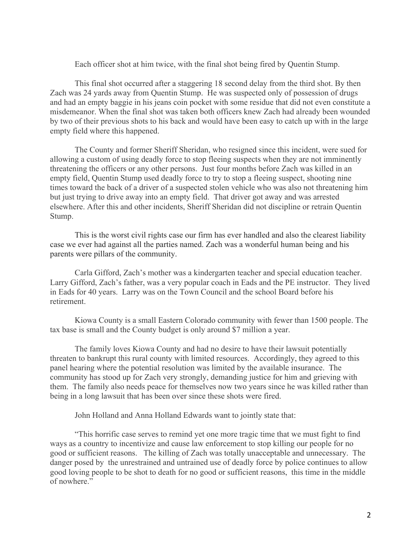Each officer shot at him twice, with the final shot being fired by Quentin Stump.

This final shot occurred after a staggering 18 second delay from the third shot. By then Zach was 24 yards away from Quentin Stump. He was suspected only of possession of drugs and had an empty baggie in his jeans coin pocket with some residue that did not even constitute a misdemeanor. When the final shot was taken both officers knew Zach had already been wounded by two of their previous shots to his back and would have been easy to catch up with in the large empty field where this happened.

The County and former Sheriff Sheridan, who resigned since this incident, were sued for allowing a custom of using deadly force to stop fleeing suspects when they are not imminently threatening the officers or any other persons. Just four months before Zach was killed in an empty field, Quentin Stump used deadly force to try to stop a fleeing suspect, shooting nine times toward the back of a driver of a suspected stolen vehicle who was also not threatening him but just trying to drive away into an empty field. That driver got away and was arrested elsewhere. After this and other incidents, Sheriff Sheridan did not discipline or retrain Quentin Stump.

This is the worst civil rights case our firm has ever handled and also the clearest liability case we ever had against all the parties named. Zach was a wonderful human being and his parents were pillars of the community.

Carla Gifford, Zach's mother was a kindergarten teacher and special education teacher. Larry Gifford, Zach's father, was a very popular coach in Eads and the PE instructor. They lived in Eads for 40 years. Larry was on the Town Council and the school Board before his retirement.

Kiowa County is a small Eastern Colorado community with fewer than 1500 people. The tax base is small and the County budget is only around \$7 million a year.

The family loves Kiowa County and had no desire to have their lawsuit potentially threaten to bankrupt this rural county with limited resources. Accordingly, they agreed to this panel hearing where the potential resolution was limited by the available insurance. The community has stood up for Zach very strongly, demanding justice for him and grieving with them. The family also needs peace for themselves now two years since he was killed rather than being in a long lawsuit that has been over since these shots were fired.

John Holland and Anna Holland Edwards want to jointly state that:

"This horrific case serves to remind yet one more tragic time that we must fight to find ways as a country to incentivize and cause law enforcement to stop killing our people for no good or sufficient reasons. The killing of Zach was totally unacceptable and unnecessary. The danger posed by the unrestrained and untrained use of deadly force by police continues to allow good loving people to be shot to death for no good or sufficient reasons, this time in the middle of nowhere."